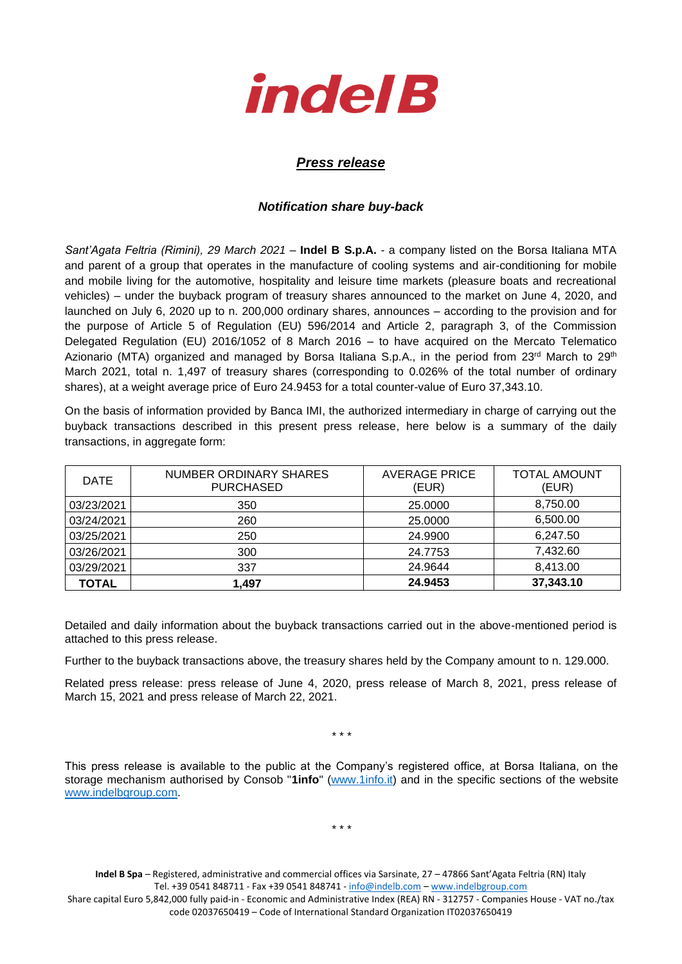

## *Press release*

## *Notification share buy-back*

*Sant'Agata Feltria (Rimini), 29 March 2021* – **Indel B S.p.A.** - a company listed on the Borsa Italiana MTA and parent of a group that operates in the manufacture of cooling systems and air-conditioning for mobile and mobile living for the automotive, hospitality and leisure time markets (pleasure boats and recreational vehicles) – under the buyback program of treasury shares announced to the market on June 4, 2020, and launched on July 6, 2020 up to n. 200,000 ordinary shares, announces – according to the provision and for the purpose of Article 5 of Regulation (EU) 596/2014 and Article 2, paragraph 3, of the Commission Delegated Regulation (EU) 2016/1052 of 8 March 2016 – to have acquired on the Mercato Telematico Azionario (MTA) organized and managed by Borsa Italiana S.p.A., in the period from 23<sup>rd</sup> March to 29<sup>th</sup> March 2021, total n. 1,497 of treasury shares (corresponding to 0.026% of the total number of ordinary shares), at a weight average price of Euro 24.9453 for a total counter-value of Euro 37,343.10.

On the basis of information provided by Banca IMI, the authorized intermediary in charge of carrying out the buyback transactions described in this present press release, here below is a summary of the daily transactions, in aggregate form:

| <b>DATE</b> | NUMBER ORDINARY SHARES<br><b>PURCHASED</b> | <b>AVERAGE PRICE</b><br>(EUR) | <b>TOTAL AMOUNT</b><br>(EUR) |
|-------------|--------------------------------------------|-------------------------------|------------------------------|
| 03/23/2021  | 350                                        | 25,0000                       | 8,750.00                     |
| 03/24/2021  | 260                                        | 25.0000                       | 6,500.00                     |
| 03/25/2021  | 250                                        | 24.9900                       | 6,247.50                     |
| 03/26/2021  | 300                                        | 24.7753                       | 7,432.60                     |
| 03/29/2021  | 337                                        | 24.9644                       | 8,413.00                     |
| TOTAL       | 1.497                                      | 24.9453                       | 37,343.10                    |

Detailed and daily information about the buyback transactions carried out in the above-mentioned period is attached to this press release.

Further to the buyback transactions above, the treasury shares held by the Company amount to n. 129.000.

Related press release: press release of June 4, 2020, press release of March 8, 2021, press release of March 15, 2021 and press release of March 22, 2021.

\* \* \*

This press release is available to the public at the Company's registered office, at Borsa Italiana, on the storage mechanism authorised by Consob "**1info**" [\(www.1info.it\)](file:///C:/Users/ddelietovollaro/AppData/Local/Microsoft/Windows/INetCache/Content.Outlook/T87B94UR/www.1info.it) and in the specific sections of the website [www.indelbgroup.com.](http://www.indelbgroup.com/)

\* \* \*

**Indel B Spa** – Registered, administrative and commercial offices via Sarsinate, 27 – 47866 Sant'Agata Feltria (RN) Italy Tel. +39 0541 848711 - Fax +39 0541 848741 - [info@indelb.com](mailto:info@indelb.com) – [www.indelbgroup.com](http://www.indelbgroup.com/)

Share capital Euro 5,842,000 fully paid-in - Economic and Administrative Index (REA) RN - 312757 - Companies House - VAT no./tax code 02037650419 – Code of International Standard Organization IT02037650419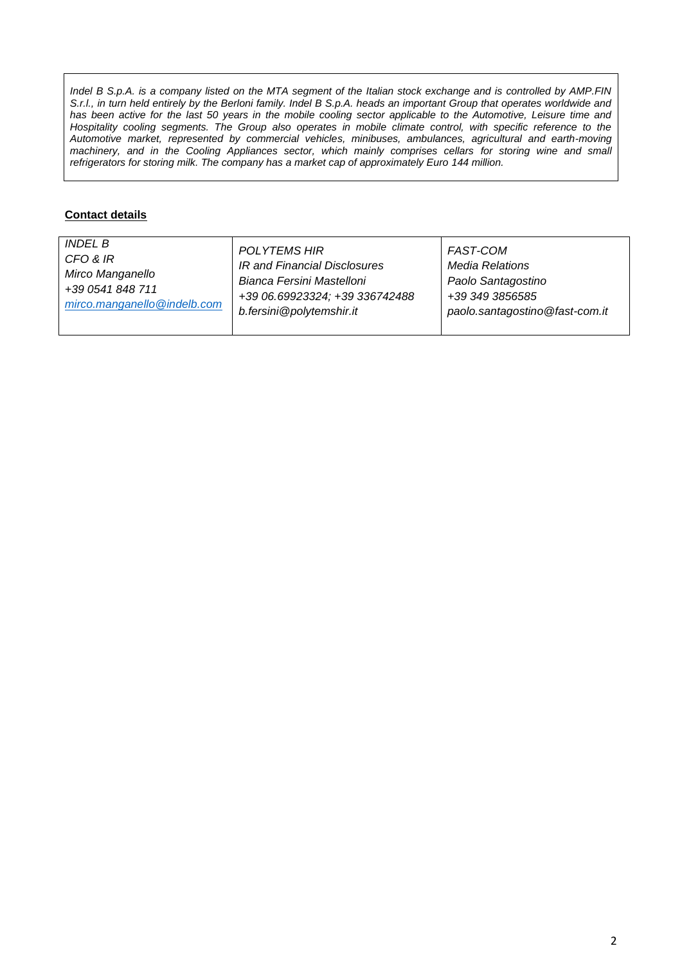*Indel B S.p.A. is a company listed on the MTA segment of the Italian stock exchange and is controlled by AMP.FIN S.r.l., in turn held entirely by the Berloni family. Indel B S.p.A. heads an important Group that operates worldwide and* has been active for the last 50 years in the mobile cooling sector applicable to the Automotive, Leisure time and Hospitality cooling segments. The Group also operates in mobile climate control, with specific reference to the *Automotive market, represented by commercial vehicles, minibuses, ambulances, agricultural and earth-moving machinery, and in the Cooling Appliances sector, which mainly comprises cellars for storing wine and small refrigerators for storing milk. The company has a market cap of approximately Euro 144 million.*

## **Contact details**

| <i>INDEL B</i>              | POLYTEMS HIR                   | FAST-COM                       |
|-----------------------------|--------------------------------|--------------------------------|
| CFO & IR                    | IR and Financial Disclosures   | Media Relations                |
| Mirco Manganello            | Bianca Fersini Mastelloni      | Paolo Santagostino             |
| +39 0541 848 711            | +39 06.69923324; +39 336742488 | +39 349 3856585                |
| mirco.manganello@indelb.com | b.fersini@polytemshir.it       | paolo.santagostino@fast-com.it |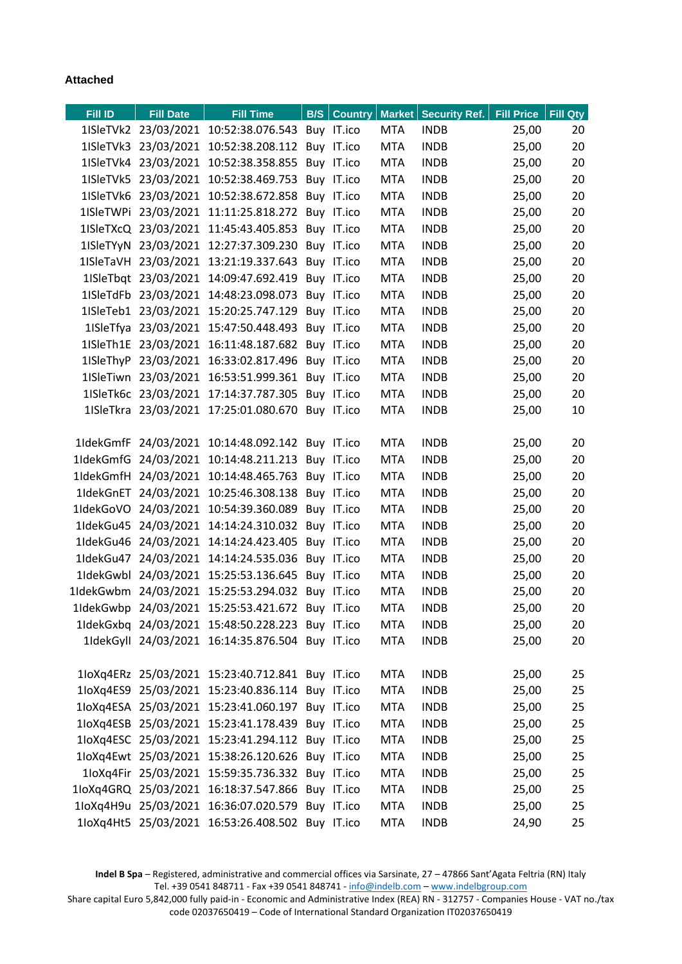## **Attached**

| <b>Fill ID</b> | <b>Fill Date</b>     | <b>Fill Time</b>                                 |            |            | <b>B/S</b> Country   Market   Security Ref. | <b>Fill Price</b> | Fill Qty |
|----------------|----------------------|--------------------------------------------------|------------|------------|---------------------------------------------|-------------------|----------|
|                |                      | 1ISleTVk2 23/03/2021 10:52:38.076.543 Buy IT.ico |            | <b>MTA</b> | <b>INDB</b>                                 | 25,00             | 20       |
|                |                      | 1ISleTVk3 23/03/2021 10:52:38.208.112 Buy IT.ico |            | <b>MTA</b> | <b>INDB</b>                                 | 25,00             | 20       |
|                |                      | 1ISleTVk4 23/03/2021 10:52:38.358.855 Buy IT.ico |            | <b>MTA</b> | <b>INDB</b>                                 | 25,00             | 20       |
|                |                      | 1ISleTVk5 23/03/2021 10:52:38.469.753            | Buy IT.ico | <b>MTA</b> | <b>INDB</b>                                 | 25,00             | 20       |
|                |                      | 1ISleTVk6 23/03/2021 10:52:38.672.858 Buy IT.ico |            | <b>MTA</b> | <b>INDB</b>                                 | 25,00             | 20       |
|                |                      | 1ISleTWPi 23/03/2021 11:11:25.818.272 Buy IT.ico |            | <b>MTA</b> | <b>INDB</b>                                 | 25,00             | 20       |
|                |                      | 1ISleTXcQ 23/03/2021 11:45:43.405.853            | Buy IT.ico | <b>MTA</b> | <b>INDB</b>                                 | 25,00             | 20       |
|                |                      | 1ISleTYyN 23/03/2021 12:27:37.309.230 Buy IT.ico |            | <b>MTA</b> | <b>INDB</b>                                 | 25,00             | 20       |
|                |                      | 1ISleTaVH 23/03/2021 13:21:19.337.643 Buy IT.ico |            | <b>MTA</b> | <b>INDB</b>                                 | 25,00             | 20       |
|                |                      | 1ISleTbqt 23/03/2021 14:09:47.692.419 Buy IT.ico |            | <b>MTA</b> | <b>INDB</b>                                 | 25,00             | 20       |
|                |                      | 1ISleTdFb 23/03/2021 14:48:23.098.073 Buy IT.ico |            | <b>MTA</b> | <b>INDB</b>                                 | 25,00             | 20       |
|                |                      | 1ISleTeb1 23/03/2021 15:20:25.747.129            | Buy IT.ico | <b>MTA</b> | <b>INDB</b>                                 | 25,00             | 20       |
|                |                      | 1ISleTfya 23/03/2021 15:47:50.448.493 Buy IT.ico |            | <b>MTA</b> | <b>INDB</b>                                 | 25,00             | 20       |
|                |                      | 1ISleTh1E 23/03/2021 16:11:48.187.682            | Buy IT.ico | <b>MTA</b> | <b>INDB</b>                                 | 25,00             | 20       |
|                |                      | 1ISleThyP 23/03/2021 16:33:02.817.496 Buy IT.ico |            | <b>MTA</b> | <b>INDB</b>                                 | 25,00             | 20       |
|                |                      | 1ISleTiwn 23/03/2021 16:53:51.999.361            | Buy IT.ico | <b>MTA</b> | <b>INDB</b>                                 | 25,00             | 20       |
|                |                      | 1ISleTk6c 23/03/2021 17:14:37.787.305            | Buy IT.ico | <b>MTA</b> | <b>INDB</b>                                 | 25,00             | 20       |
|                |                      | 1ISleTkra 23/03/2021 17:25:01.080.670 Buy IT.ico |            | <b>MTA</b> | <b>INDB</b>                                 | 25,00             | 10       |
|                |                      |                                                  |            |            |                                             |                   |          |
|                |                      | 1IdekGmfF 24/03/2021 10:14:48.092.142 Buy IT.ico |            | <b>MTA</b> | <b>INDB</b>                                 | 25,00             | 20       |
|                | 1IdekGmfG 24/03/2021 | 10:14:48.211.213                                 | Buy IT.ico | <b>MTA</b> | <b>INDB</b>                                 | 25,00             | 20       |
|                | 1IdekGmfH 24/03/2021 | 10:14:48.465.763                                 | Buy IT.ico | <b>MTA</b> | <b>INDB</b>                                 | 25,00             | 20       |
|                |                      | 1IdekGnET 24/03/2021 10:25:46.308.138 Buy IT.ico |            | <b>MTA</b> | <b>INDB</b>                                 | 25,00             | 20       |
|                | 1IdekGoVO 24/03/2021 | 10:54:39.360.089                                 | Buy IT.ico | <b>MTA</b> | <b>INDB</b>                                 | 25,00             | 20       |
|                |                      | 1IdekGu45 24/03/2021 14:14:24.310.032 Buy IT.ico |            | <b>MTA</b> | <b>INDB</b>                                 | 25,00             | 20       |
|                |                      | 1IdekGu46 24/03/2021 14:14:24.423.405            | Buy IT.ico | <b>MTA</b> | <b>INDB</b>                                 | 25,00             | 20       |
| 1IdekGu47      | 24/03/2021           | 14:14:24.535.036                                 | Buy IT.ico | <b>MTA</b> | <b>INDB</b>                                 | 25,00             | 20       |
|                |                      | 1IdekGwbl 24/03/2021 15:25:53.136.645 Buy IT.ico |            | <b>MTA</b> | <b>INDB</b>                                 | 25,00             | 20       |
|                |                      | 1IdekGwbm 24/03/2021 15:25:53.294.032            | Buy IT.ico | <b>MTA</b> | <b>INDB</b>                                 | 25,00             | 20       |
|                |                      | 1IdekGwbp 24/03/2021 15:25:53.421.672 Buy IT.ico |            | <b>MTA</b> | <b>INDB</b>                                 | 25,00             | 20       |
|                |                      | 1IdekGxbq 24/03/2021 15:48:50.228.223 Buy IT.ico |            | <b>MTA</b> | <b>INDB</b>                                 | 25,00             | 20       |
|                |                      | 1IdekGyll 24/03/2021 16:14:35.876.504 Buy IT.ico |            | <b>MTA</b> | <b>INDB</b>                                 | 25,00             | 20       |
|                |                      |                                                  |            |            |                                             |                   |          |
|                |                      | 1loXq4ERz 25/03/2021 15:23:40.712.841 Buy IT.ico |            | <b>MTA</b> | <b>INDB</b>                                 | 25,00             | 25       |
|                |                      | 1loXq4ES9 25/03/2021 15:23:40.836.114 Buy IT.ico |            | <b>MTA</b> | <b>INDB</b>                                 | 25,00             | 25       |
|                |                      | 1loXq4ESA 25/03/2021 15:23:41.060.197 Buy IT.ico |            | <b>MTA</b> | <b>INDB</b>                                 | 25,00             | 25       |
|                |                      | 1loXq4ESB 25/03/2021 15:23:41.178.439 Buy IT.ico |            | <b>MTA</b> | <b>INDB</b>                                 | 25,00             | 25       |
|                |                      | 1loXq4ESC 25/03/2021 15:23:41.294.112 Buy IT.ico |            | <b>MTA</b> | <b>INDB</b>                                 | 25,00             | 25       |
|                |                      | 1loXq4Ewt 25/03/2021 15:38:26.120.626 Buy IT.ico |            | <b>MTA</b> | <b>INDB</b>                                 | 25,00             | 25       |
|                |                      | 1loXq4Fir 25/03/2021 15:59:35.736.332 Buy IT.ico |            | <b>MTA</b> | <b>INDB</b>                                 | 25,00             | 25       |
|                |                      | 1loXq4GRQ 25/03/2021 16:18:37.547.866 Buy IT.ico |            | <b>MTA</b> | <b>INDB</b>                                 | 25,00             | 25       |
|                |                      | 1loXq4H9u 25/03/2021 16:36:07.020.579 Buy IT.ico |            | <b>MTA</b> | <b>INDB</b>                                 | 25,00             | 25       |
|                |                      | 1loXq4Ht5 25/03/2021 16:53:26.408.502 Buy IT.ico |            | <b>MTA</b> | <b>INDB</b>                                 | 24,90             | 25       |

**Indel B Spa** – Registered, administrative and commercial offices via Sarsinate, 27 – 47866 Sant'Agata Feltria (RN) Italy Tel. +39 0541 848711 - Fax +39 0541 848741 - [info@indelb.com](mailto:info@indelb.com) – [www.indelbgroup.com](http://www.indelbgroup.com/)

Share capital Euro 5,842,000 fully paid-in - Economic and Administrative Index (REA) RN - 312757 - Companies House - VAT no./tax code 02037650419 – Code of International Standard Organization IT02037650419